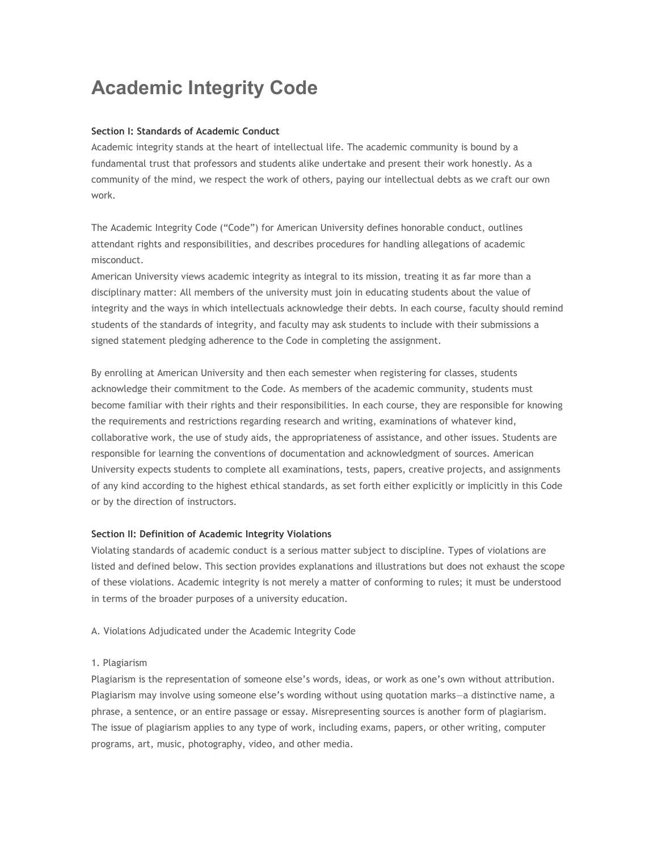# **Academic Integrity Code**

# **Section I: Standards of Academic Conduct**

Academic integrity stands at the heart of intellectual life. The academic community is bound by a fundamental trust that professors and students alike undertake and present their work honestly. As a community of the mind, we respect the work of others, paying our intellectual debts as we craft our own work.

The Academic Integrity Code ("Code") for American University defines honorable conduct, outlines attendant rights and responsibilities, and describes procedures for handling allegations of academic misconduct.

American University views academic integrity as integral to its mission, treating it as far more than a disciplinary matter: All members of the university must join in educating students about the value of integrity and the ways in which intellectuals acknowledge their debts. In each course, faculty should remind students of the standards of integrity, and faculty may ask students to include with their submissions a signed statement pledging adherence to the Code in completing the assignment.

By enrolling at American University and then each semester when registering for classes, students acknowledge their commitment to the Code. As members of the academic community, students must become familiar with their rights and their responsibilities. In each course, they are responsible for knowing the requirements and restrictions regarding research and writing, examinations of whatever kind, collaborative work, the use of study aids, the appropriateness of assistance, and other issues. Students are responsible for learning the conventions of documentation and acknowledgment of sources. American University expects students to complete all examinations, tests, papers, creative projects, and assignments of any kind according to the highest ethical standards, as set forth either explicitly or implicitly in this Code or by the direction of instructors.

## **Section II: Definition of Academic Integrity Violations**

Violating standards of academic conduct is a serious matter subject to discipline. Types of violations are listed and defined below. This section provides explanations and illustrations but does not exhaust the scope of these violations. Academic integrity is not merely a matter of conforming to rules; it must be understood in terms of the broader purposes of a university education.

## A. Violations Adjudicated under the Academic Integrity Code

## 1. Plagiarism

Plagiarism is the representation of someone else's words, ideas, or work as one's own without attribution. Plagiarism may involve using someone else's wording without using quotation marks—a distinctive name, a phrase, a sentence, or an entire passage or essay. Misrepresenting sources is another form of plagiarism. The issue of plagiarism applies to any type of work, including exams, papers, or other writing, computer programs, art, music, photography, video, and other media.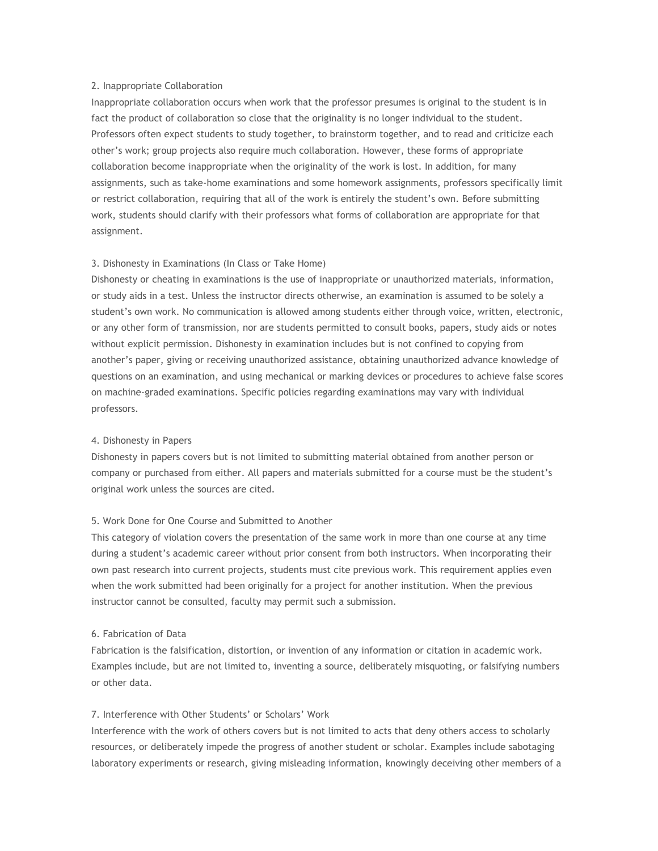## 2. Inappropriate Collaboration

Inappropriate collaboration occurs when work that the professor presumes is original to the student is in fact the product of collaboration so close that the originality is no longer individual to the student. Professors often expect students to study together, to brainstorm together, and to read and criticize each other's work; group projects also require much collaboration. However, these forms of appropriate collaboration become inappropriate when the originality of the work is lost. In addition, for many assignments, such as take-home examinations and some homework assignments, professors specifically limit or restrict collaboration, requiring that all of the work is entirely the student's own. Before submitting work, students should clarify with their professors what forms of collaboration are appropriate for that assignment.

## 3. Dishonesty in Examinations (In Class or Take Home)

Dishonesty or cheating in examinations is the use of inappropriate or unauthorized materials, information, or study aids in a test. Unless the instructor directs otherwise, an examination is assumed to be solely a student's own work. No communication is allowed among students either through voice, written, electronic, or any other form of transmission, nor are students permitted to consult books, papers, study aids or notes without explicit permission. Dishonesty in examination includes but is not confined to copying from another's paper, giving or receiving unauthorized assistance, obtaining unauthorized advance knowledge of questions on an examination, and using mechanical or marking devices or procedures to achieve false scores on machine-graded examinations. Specific policies regarding examinations may vary with individual professors.

## 4. Dishonesty in Papers

Dishonesty in papers covers but is not limited to submitting material obtained from another person or company or purchased from either. All papers and materials submitted for a course must be the student's original work unless the sources are cited.

# 5. Work Done for One Course and Submitted to Another

This category of violation covers the presentation of the same work in more than one course at any time during a student's academic career without prior consent from both instructors. When incorporating their own past research into current projects, students must cite previous work. This requirement applies even when the work submitted had been originally for a project for another institution. When the previous instructor cannot be consulted, faculty may permit such a submission.

## 6. Fabrication of Data

Fabrication is the falsification, distortion, or invention of any information or citation in academic work. Examples include, but are not limited to, inventing a source, deliberately misquoting, or falsifying numbers or other data.

# 7. Interference with Other Students' or Scholars' Work

Interference with the work of others covers but is not limited to acts that deny others access to scholarly resources, or deliberately impede the progress of another student or scholar. Examples include sabotaging laboratory experiments or research, giving misleading information, knowingly deceiving other members of a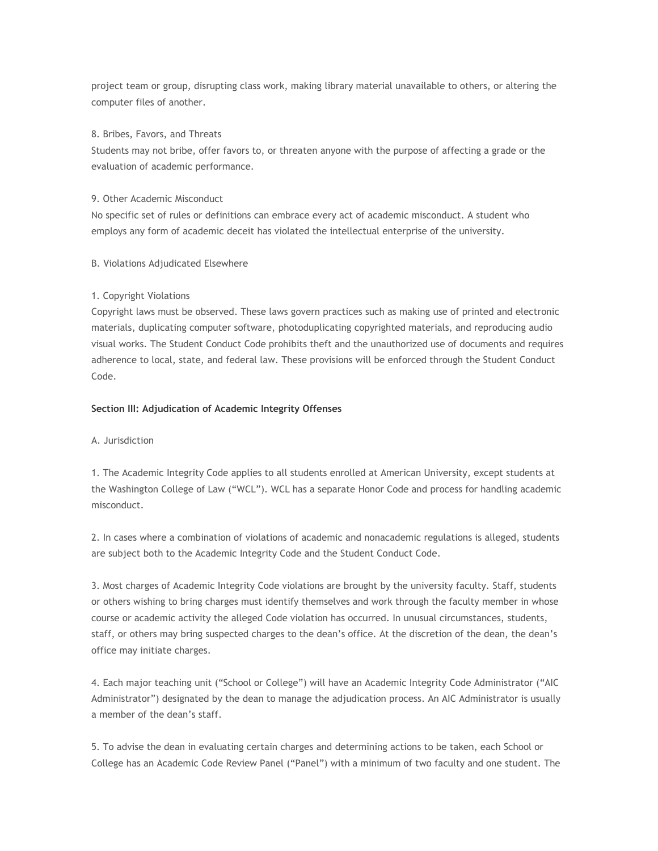project team or group, disrupting class work, making library material unavailable to others, or altering the computer files of another.

#### 8. Bribes, Favors, and Threats

Students may not bribe, offer favors to, or threaten anyone with the purpose of affecting a grade or the evaluation of academic performance.

#### 9. Other Academic Misconduct

No specific set of rules or definitions can embrace every act of academic misconduct. A student who employs any form of academic deceit has violated the intellectual enterprise of the university.

#### B. Violations Adjudicated Elsewhere

## 1. Copyright Violations

Copyright laws must be observed. These laws govern practices such as making use of printed and electronic materials, duplicating computer software, photoduplicating copyrighted materials, and reproducing audio visual works. The Student Conduct Code prohibits theft and the unauthorized use of documents and requires adherence to local, state, and federal law. These provisions will be enforced through the Student Conduct Code.

#### **Section III: Adjudication of Academic Integrity Offenses**

#### A. Jurisdiction

1. The Academic Integrity Code applies to all students enrolled at American University, except students at the Washington College of Law ("WCL"). WCL has a separate Honor Code and process for handling academic misconduct.

2. In cases where a combination of violations of academic and nonacademic regulations is alleged, students are subject both to the Academic Integrity Code and the Student Conduct Code.

3. Most charges of Academic Integrity Code violations are brought by the university faculty. Staff, students or others wishing to bring charges must identify themselves and work through the faculty member in whose course or academic activity the alleged Code violation has occurred. In unusual circumstances, students, staff, or others may bring suspected charges to the dean's office. At the discretion of the dean, the dean's office may initiate charges.

4. Each major teaching unit ("School or College") will have an Academic Integrity Code Administrator ("AIC Administrator") designated by the dean to manage the adjudication process. An AIC Administrator is usually a member of the dean's staff.

5. To advise the dean in evaluating certain charges and determining actions to be taken, each School or College has an Academic Code Review Panel ("Panel") with a minimum of two faculty and one student. The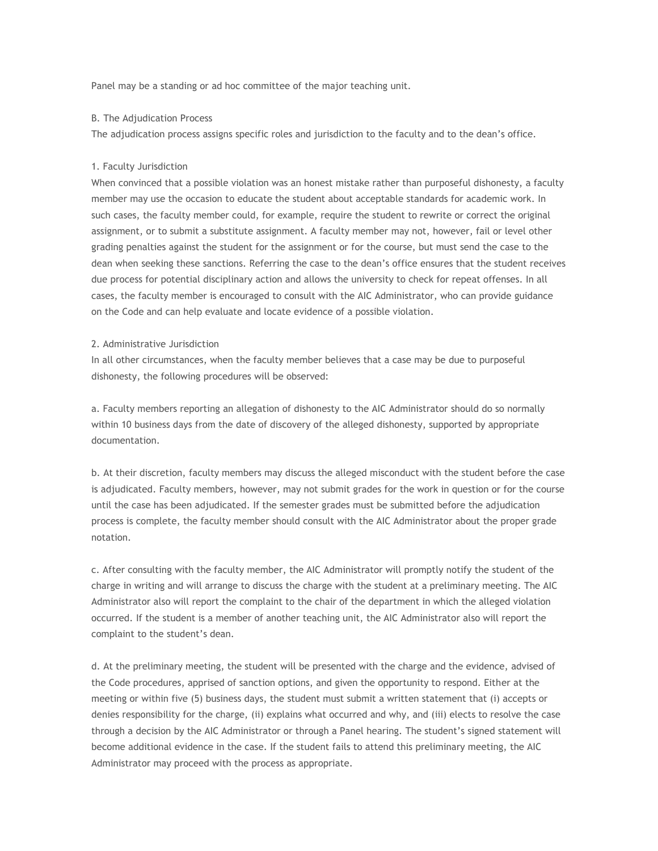Panel may be a standing or ad hoc committee of the major teaching unit.

#### B. The Adjudication Process

The adjudication process assigns specific roles and jurisdiction to the faculty and to the dean's office.

## 1. Faculty Jurisdiction

When convinced that a possible violation was an honest mistake rather than purposeful dishonesty, a faculty member may use the occasion to educate the student about acceptable standards for academic work. In such cases, the faculty member could, for example, require the student to rewrite or correct the original assignment, or to submit a substitute assignment. A faculty member may not, however, fail or level other grading penalties against the student for the assignment or for the course, but must send the case to the dean when seeking these sanctions. Referring the case to the dean's office ensures that the student receives due process for potential disciplinary action and allows the university to check for repeat offenses. In all cases, the faculty member is encouraged to consult with the AIC Administrator, who can provide guidance on the Code and can help evaluate and locate evidence of a possible violation.

# 2. Administrative Jurisdiction

In all other circumstances, when the faculty member believes that a case may be due to purposeful dishonesty, the following procedures will be observed:

a. Faculty members reporting an allegation of dishonesty to the AIC Administrator should do so normally within 10 business days from the date of discovery of the alleged dishonesty, supported by appropriate documentation.

b. At their discretion, faculty members may discuss the alleged misconduct with the student before the case is adjudicated. Faculty members, however, may not submit grades for the work in question or for the course until the case has been adjudicated. If the semester grades must be submitted before the adjudication process is complete, the faculty member should consult with the AIC Administrator about the proper grade notation.

c. After consulting with the faculty member, the AIC Administrator will promptly notify the student of the charge in writing and will arrange to discuss the charge with the student at a preliminary meeting. The AIC Administrator also will report the complaint to the chair of the department in which the alleged violation occurred. If the student is a member of another teaching unit, the AIC Administrator also will report the complaint to the student's dean.

d. At the preliminary meeting, the student will be presented with the charge and the evidence, advised of the Code procedures, apprised of sanction options, and given the opportunity to respond. Either at the meeting or within five (5) business days, the student must submit a written statement that (i) accepts or denies responsibility for the charge, (ii) explains what occurred and why, and (iii) elects to resolve the case through a decision by the AIC Administrator or through a Panel hearing. The student's signed statement will become additional evidence in the case. If the student fails to attend this preliminary meeting, the AIC Administrator may proceed with the process as appropriate.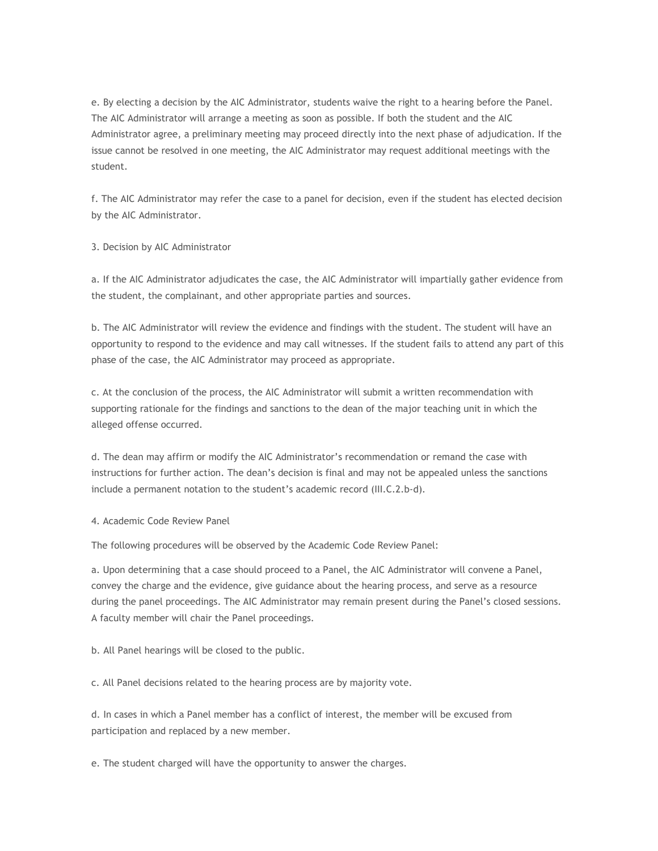e. By electing a decision by the AIC Administrator, students waive the right to a hearing before the Panel. The AIC Administrator will arrange a meeting as soon as possible. If both the student and the AIC Administrator agree, a preliminary meeting may proceed directly into the next phase of adjudication. If the issue cannot be resolved in one meeting, the AIC Administrator may request additional meetings with the student.

f. The AIC Administrator may refer the case to a panel for decision, even if the student has elected decision by the AIC Administrator.

3. Decision by AIC Administrator

a. If the AIC Administrator adjudicates the case, the AIC Administrator will impartially gather evidence from the student, the complainant, and other appropriate parties and sources.

b. The AIC Administrator will review the evidence and findings with the student. The student will have an opportunity to respond to the evidence and may call witnesses. If the student fails to attend any part of this phase of the case, the AIC Administrator may proceed as appropriate.

c. At the conclusion of the process, the AIC Administrator will submit a written recommendation with supporting rationale for the findings and sanctions to the dean of the major teaching unit in which the alleged offense occurred.

d. The dean may affirm or modify the AIC Administrator's recommendation or remand the case with instructions for further action. The dean's decision is final and may not be appealed unless the sanctions include a permanent notation to the student's academic record (III.C.2.b-d).

# 4. Academic Code Review Panel

The following procedures will be observed by the Academic Code Review Panel:

a. Upon determining that a case should proceed to a Panel, the AIC Administrator will convene a Panel, convey the charge and the evidence, give guidance about the hearing process, and serve as a resource during the panel proceedings. The AIC Administrator may remain present during the Panel's closed sessions. A faculty member will chair the Panel proceedings.

b. All Panel hearings will be closed to the public.

c. All Panel decisions related to the hearing process are by majority vote.

d. In cases in which a Panel member has a conflict of interest, the member will be excused from participation and replaced by a new member.

e. The student charged will have the opportunity to answer the charges.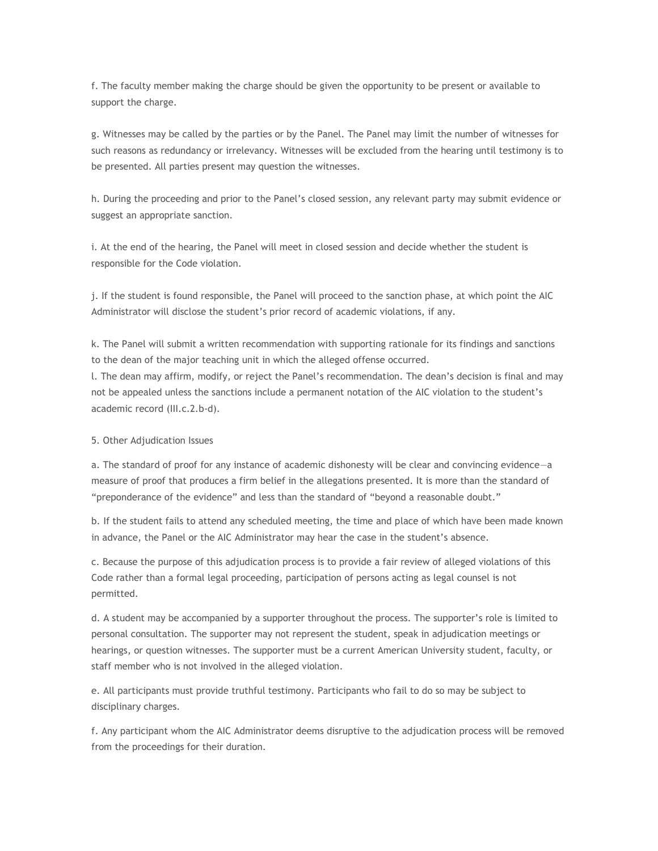f. The faculty member making the charge should be given the opportunity to be present or available to support the charge.

g. Witnesses may be called by the parties or by the Panel. The Panel may limit the number of witnesses for such reasons as redundancy or irrelevancy. Witnesses will be excluded from the hearing until testimony is to be presented. All parties present may question the witnesses.

h. During the proceeding and prior to the Panel's closed session, any relevant party may submit evidence or suggest an appropriate sanction.

i. At the end of the hearing, the Panel will meet in closed session and decide whether the student is responsible for the Code violation.

j. If the student is found responsible, the Panel will proceed to the sanction phase, at which point the AIC Administrator will disclose the student's prior record of academic violations, if any.

k. The Panel will submit a written recommendation with supporting rationale for its findings and sanctions to the dean of the major teaching unit in which the alleged offense occurred.

l. The dean may affirm, modify, or reject the Panel's recommendation. The dean's decision is final and may not be appealed unless the sanctions include a permanent notation of the AIC violation to the student's academic record (III.c.2.b-d).

## 5. Other Adjudication Issues

a. The standard of proof for any instance of academic dishonesty will be clear and convincing evidence—a measure of proof that produces a firm belief in the allegations presented. It is more than the standard of "preponderance of the evidence" and less than the standard of "beyond a reasonable doubt."

b. If the student fails to attend any scheduled meeting, the time and place of which have been made known in advance, the Panel or the AIC Administrator may hear the case in the student's absence.

c. Because the purpose of this adjudication process is to provide a fair review of alleged violations of this Code rather than a formal legal proceeding, participation of persons acting as legal counsel is not permitted.

d. A student may be accompanied by a supporter throughout the process. The supporter's role is limited to personal consultation. The supporter may not represent the student, speak in adjudication meetings or hearings, or question witnesses. The supporter must be a current American University student, faculty, or staff member who is not involved in the alleged violation.

e. All participants must provide truthful testimony. Participants who fail to do so may be subject to disciplinary charges.

f. Any participant whom the AIC Administrator deems disruptive to the adjudication process will be removed from the proceedings for their duration.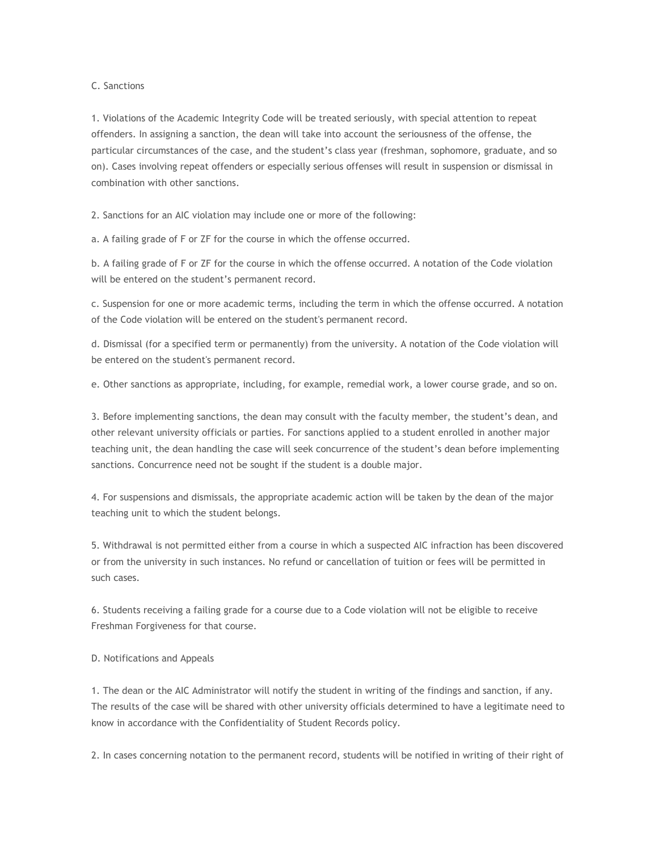# C. Sanctions

1. Violations of the Academic Integrity Code will be treated seriously, with special attention to repeat offenders. In assigning a sanction, the dean will take into account the seriousness of the offense, the particular circumstances of the case, and the student's class year (freshman, sophomore, graduate, and so on). Cases involving repeat offenders or especially serious offenses will result in suspension or dismissal in combination with other sanctions.

2. Sanctions for an AIC violation may include one or more of the following:

a. A failing grade of F or ZF for the course in which the offense occurred.

b. A failing grade of F or ZF for the course in which the offense occurred. A notation of the Code violation will be entered on the student's permanent record.

c. Suspension for one or more academic terms, including the term in which the offense occurred. A notation of the Code violation will be entered on the student's permanent record.

d. Dismissal (for a specified term or permanently) from the university. A notation of the Code violation will be entered on the student's permanent record.

e. Other sanctions as appropriate, including, for example, remedial work, a lower course grade, and so on.

3. Before implementing sanctions, the dean may consult with the faculty member, the student's dean, and other relevant university officials or parties. For sanctions applied to a student enrolled in another major teaching unit, the dean handling the case will seek concurrence of the student's dean before implementing sanctions. Concurrence need not be sought if the student is a double major.

4. For suspensions and dismissals, the appropriate academic action will be taken by the dean of the major teaching unit to which the student belongs.

5. Withdrawal is not permitted either from a course in which a suspected AIC infraction has been discovered or from the university in such instances. No refund or cancellation of tuition or fees will be permitted in such cases.

6. Students receiving a failing grade for a course due to a Code violation will not be eligible to receive Freshman Forgiveness for that course.

D. Notifications and Appeals

1. The dean or the AIC Administrator will notify the student in writing of the findings and sanction, if any. The results of the case will be shared with other university officials determined to have a legitimate need to know in accordance with the Confidentiality of Student Records policy.

2. In cases concerning notation to the permanent record, students will be notified in writing of their right of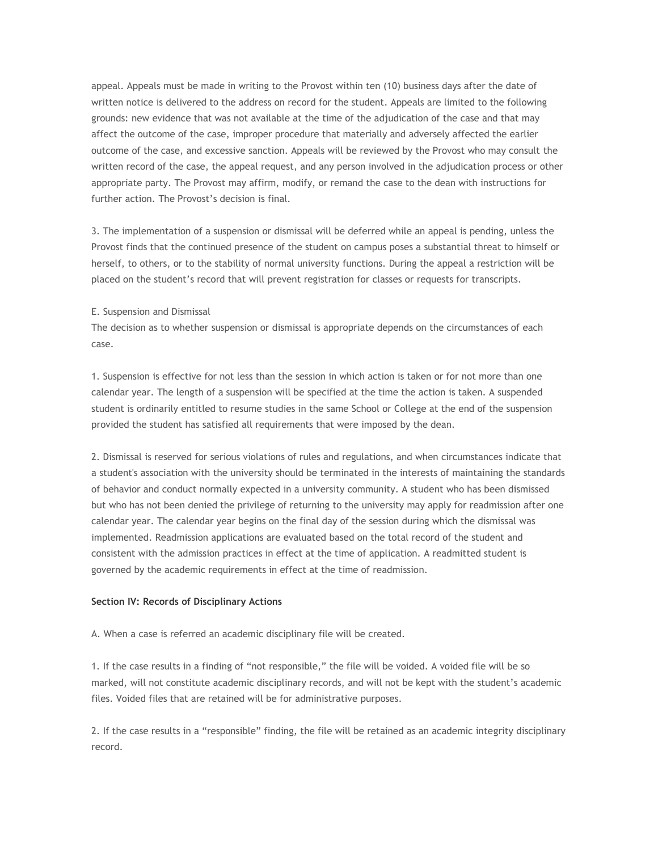appeal. Appeals must be made in writing to the Provost within ten (10) business days after the date of written notice is delivered to the address on record for the student. Appeals are limited to the following grounds: new evidence that was not available at the time of the adjudication of the case and that may affect the outcome of the case, improper procedure that materially and adversely affected the earlier outcome of the case, and excessive sanction. Appeals will be reviewed by the Provost who may consult the written record of the case, the appeal request, and any person involved in the adjudication process or other appropriate party. The Provost may affirm, modify, or remand the case to the dean with instructions for further action. The Provost's decision is final.

3. The implementation of a suspension or dismissal will be deferred while an appeal is pending, unless the Provost finds that the continued presence of the student on campus poses a substantial threat to himself or herself, to others, or to the stability of normal university functions. During the appeal a restriction will be placed on the student's record that will prevent registration for classes or requests for transcripts.

#### E. Suspension and Dismissal

The decision as to whether suspension or dismissal is appropriate depends on the circumstances of each case.

1. Suspension is effective for not less than the session in which action is taken or for not more than one calendar year. The length of a suspension will be specified at the time the action is taken. A suspended student is ordinarily entitled to resume studies in the same School or College at the end of the suspension provided the student has satisfied all requirements that were imposed by the dean.

2. Dismissal is reserved for serious violations of rules and regulations, and when circumstances indicate that a student's association with the university should be terminated in the interests of maintaining the standards of behavior and conduct normally expected in a university community. A student who has been dismissed but who has not been denied the privilege of returning to the university may apply for readmission after one calendar year. The calendar year begins on the final day of the session during which the dismissal was implemented. Readmission applications are evaluated based on the total record of the student and consistent with the admission practices in effect at the time of application. A readmitted student is governed by the academic requirements in effect at the time of readmission.

## **Section IV: Records of Disciplinary Actions**

A. When a case is referred an academic disciplinary file will be created.

1. If the case results in a finding of "not responsible," the file will be voided. A voided file will be so marked, will not constitute academic disciplinary records, and will not be kept with the student's academic files. Voided files that are retained will be for administrative purposes.

2. If the case results in a "responsible" finding, the file will be retained as an academic integrity disciplinary record.